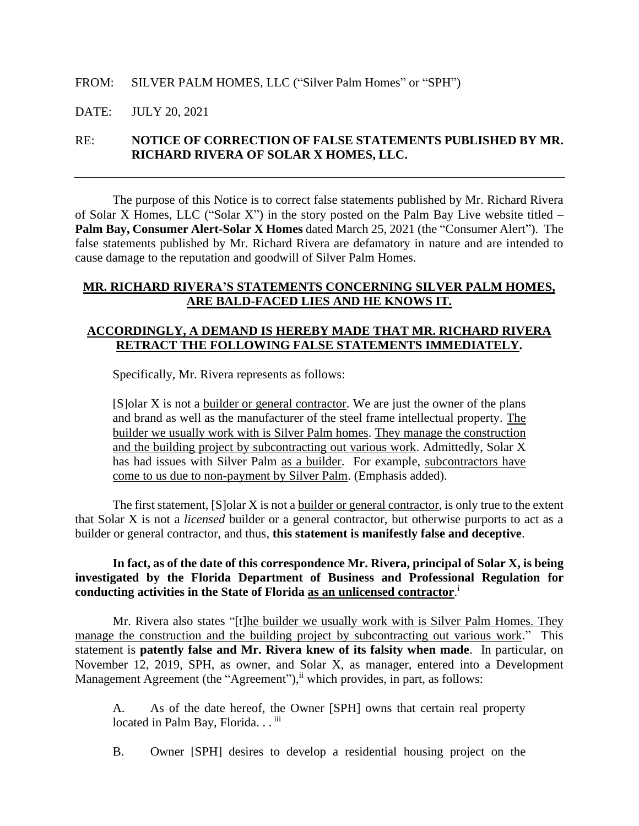### FROM: SILVER PALM HOMES, LLC ("Silver Palm Homes" or "SPH")

### DATE: JULY 20, 2021

## RE: **NOTICE OF CORRECTION OF FALSE STATEMENTS PUBLISHED BY MR. RICHARD RIVERA OF SOLAR X HOMES, LLC.**

The purpose of this Notice is to correct false statements published by Mr. Richard Rivera of Solar X Homes, LLC ("Solar X") in the story posted on the Palm Bay Live website titled – **Palm Bay, Consumer Alert-Solar X Homes** dated March 25, 2021 (the "Consumer Alert"). The false statements published by Mr. Richard Rivera are defamatory in nature and are intended to cause damage to the reputation and goodwill of Silver Palm Homes.

### **MR. RICHARD RIVERA'S STATEMENTS CONCERNING SILVER PALM HOMES, ARE BALD-FACED LIES AND HE KNOWS IT.**

### **ACCORDINGLY, A DEMAND IS HEREBY MADE THAT MR. RICHARD RIVERA RETRACT THE FOLLOWING FALSE STATEMENTS IMMEDIATELY.**

Specifically, Mr. Rivera represents as follows:

[S]olar X is not a builder or general contractor. We are just the owner of the plans and brand as well as the manufacturer of the steel frame intellectual property. The builder we usually work with is Silver Palm homes. They manage the construction and the building project by subcontracting out various work. Admittedly, Solar X has had issues with Silver Palm as a builder. For example, subcontractors have come to us due to non-payment by Silver Palm. (Emphasis added).

The first statement, [S]olar X is not a builder or general contractor, is only true to the extent that Solar X is not a *licensed* builder or a general contractor, but otherwise purports to act as a builder or general contractor, and thus, **this statement is manifestly false and deceptive**.

### **In fact, as of the date of this correspondence Mr. Rivera, principal of Solar X, is being investigated by the Florida Department of Business and Professional Regulation for conducting activities in the State of Florida as an unlicensed contractor**. i

Mr. Rivera also states "[t]he builder we usually work with is Silver Palm Homes. They manage the construction and the building project by subcontracting out various work." This statement is **patently false and Mr. Rivera knew of its falsity when made**. In particular, on November 12, 2019, SPH, as owner, and Solar X, as manager, entered into a Development Management Agreement (the "Agreement"), in which provides, in part, as follows:

A. As of the date hereof, the Owner [SPH] owns that certain real property located in Palm Bay, Florida. . . iii

B. Owner [SPH] desires to develop a residential housing project on the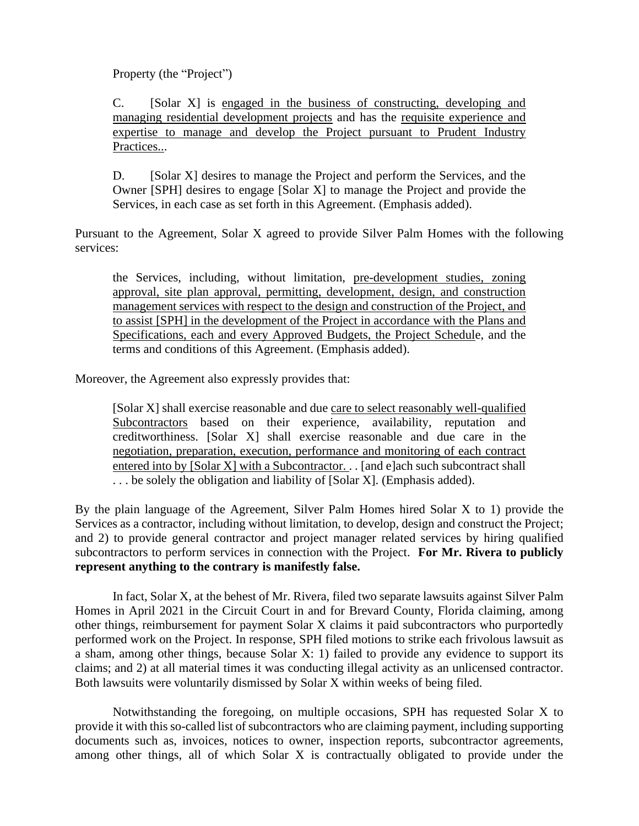Property (the "Project")

C. [Solar X] is engaged in the business of constructing, developing and managing residential development projects and has the requisite experience and expertise to manage and develop the Project pursuant to Prudent Industry Practices...

D. [Solar X] desires to manage the Project and perform the Services, and the Owner [SPH] desires to engage [Solar X] to manage the Project and provide the Services, in each case as set forth in this Agreement. (Emphasis added).

Pursuant to the Agreement, Solar X agreed to provide Silver Palm Homes with the following services:

the Services, including, without limitation, pre-development studies, zoning approval, site plan approval, permitting, development, design, and construction management services with respect to the design and construction of the Project, and to assist [SPH] in the development of the Project in accordance with the Plans and Specifications, each and every Approved Budgets, the Project Schedule, and the terms and conditions of this Agreement. (Emphasis added).

Moreover, the Agreement also expressly provides that:

[Solar X] shall exercise reasonable and due care to select reasonably well-qualified Subcontractors based on their experience, availability, reputation and creditworthiness. [Solar X] shall exercise reasonable and due care in the negotiation, preparation, execution, performance and monitoring of each contract entered into by [Solar X] with a Subcontractor. . . [and e]ach such subcontract shall ... be solely the obligation and liability of [Solar X]. (Emphasis added).

By the plain language of the Agreement, Silver Palm Homes hired Solar X to 1) provide the Services as a contractor, including without limitation, to develop, design and construct the Project; and 2) to provide general contractor and project manager related services by hiring qualified subcontractors to perform services in connection with the Project. **For Mr. Rivera to publicly represent anything to the contrary is manifestly false.** 

In fact, Solar X, at the behest of Mr. Rivera, filed two separate lawsuits against Silver Palm Homes in April 2021 in the Circuit Court in and for Brevard County, Florida claiming, among other things, reimbursement for payment Solar X claims it paid subcontractors who purportedly performed work on the Project. In response, SPH filed motions to strike each frivolous lawsuit as a sham, among other things, because Solar X: 1) failed to provide any evidence to support its claims; and 2) at all material times it was conducting illegal activity as an unlicensed contractor. Both lawsuits were voluntarily dismissed by Solar X within weeks of being filed.

Notwithstanding the foregoing, on multiple occasions, SPH has requested Solar X to provide it with this so-called list of subcontractors who are claiming payment, including supporting documents such as, invoices, notices to owner, inspection reports, subcontractor agreements, among other things, all of which Solar X is contractually obligated to provide under the